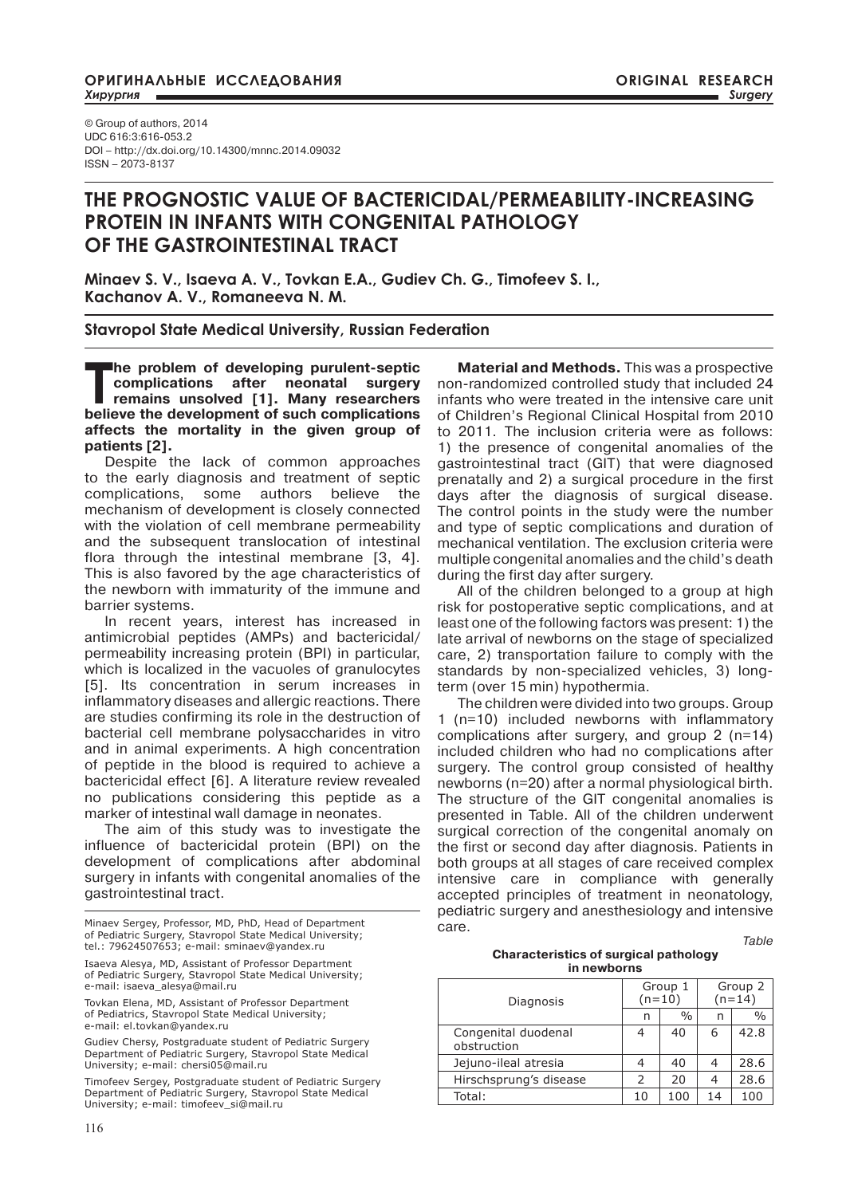© Group of authors, 2014 UDC 616:3:616-053.2 DOI – http://dx.doi.org/10.14300/mnnc.2014.09032 ISSN – 2073-8137

# **THE PROGNOSTIC VALUE OF BACTERICIDAL/PERMEABILITY-INCREASING PROTEIN IN INFANTS WITH CONGENITAL PATHOLOGY OF THE GASTROINTESTINAL TRACT**

**Minaev S. V., Isaeva A. V., Tovkan E.A., Gudiev Ch. G., Timofeev S. I., Kachanov A. V., Romaneeva N. M.**

# **Stavropol State Medical University, Russian Federation**

The problem of developing purulent-septic<br>
complications after neonatal surgery<br>
remains unsolved [1]. Many researchers<br>
heliaus the development of euch explications **complications after neonatal surgery remains unsolved [1]. Many researchers believe the development of such complications affects the mortality in the given group of patients [2].**

Despite the lack of common approaches to the early diagnosis and treatment of septic complications, some authors believe the mechanism of development is closely connected with the violation of cell membrane permeability and the subsequent translocation of intestinal flora through the intestinal membrane [3, 4]. This is also favored by the age characteristics of the newborn with immaturity of the immune and barrier systems.

In recent years, interest has increased in antimicrobial peptides (AMPs) and bactericidal/ permeability increasing protein (BPI) in particular, which is localized in the vacuoles of granulocytes [5]. Its concentration in serum increases in inflammatory diseases and allergic reactions. There are studies confirming its role in the destruction of bacterial cell membrane polysaccharides in vitro and in animal experiments. A high concentration of peptide in the blood is required to achieve a bactericidal effect [6]. A literature review revealed no publications considering this peptide as a marker of intestinal wall damage in neonates.

The aim of this study was to investigate the influence of bactericidal protein (BPI) on the development of complications after abdominal surgery in infants with congenital anomalies of the gastrointestinal tract.

116

**Material and Methods.** This was a prospective non-randomized controlled study that included 24 infants who were treated in the intensive care unit of Children's Regional Clinical Hospital from 2010 to 2011. The inclusion criteria were as follows: 1) the presence of congenital anomalies of the gastrointestinal tract (GIT) that were diagnosed prenatally and 2) a surgical procedure in the first days after the diagnosis of surgical disease. The control points in the study were the number and type of septic complications and duration of mechanical ventilation. The exclusion criteria were multiple congenital anomalies and the child's death during the first day after surgery.

All of the children belonged to a group at high risk for postoperative septic complications, and at least one of the following factors was present: 1) the late arrival of newborns on the stage of specialized care, 2) transportation failure to comply with the standards by non-specialized vehicles, 3) longterm (over 15 min) hypothermia.

The children were divided into two groups. Group 1 (n=10) included newborns with inflammatory complications after surgery, and group 2 (n=14) included children who had no complications after surgery. The control group consisted of healthy newborns (n=20) after a normal physiological birth. The structure of the GIT congenital anomalies is presented in Table. All of the children underwent surgical correction of the congenital anomaly on the first or second day after diagnosis. Patients in both groups at all stages of care received complex intensive care in compliance with generally accepted principles of treatment in neonatology, pediatric surgery and anesthesiology and intensive care.

*Table* 

### **Characteristics of surgical pathology in newborns**

| Diagnosis                          | Group 1<br>$(n=10)$ |               | Group 2<br>$(n=14)$ |               |
|------------------------------------|---------------------|---------------|---------------------|---------------|
|                                    | n                   | $\frac{0}{0}$ | n                   | $\frac{0}{0}$ |
| Congenital duodenal<br>obstruction | 4                   | 40            | 6                   | 42.8          |
| Jejuno-ileal atresia               | 4                   | 40            |                     | 28.6          |
| Hirschsprung's disease             | $\mathcal{P}$       | 20            |                     | 28.6          |
| Total:                             | 10                  | 100           | 14                  | 100           |
|                                    |                     |               |                     |               |

Minaev Sergey, Professor, MD, PhD, Head of Department of Pediatric Surgery, Stavropol State Medical University; tel.: 79624507653; e-mail: sminaev@yandex.ru

Isaeva Alesya, MD, Assistant of Professor Department of Pediatric Surgery, Stavropol State Medical University; e-mail: isaeva\_alesya@mail.ru

Tovkan Elena, MD, Assistant of Professor Department of Pediatrics, Stavropol State Medical University; e-mail: el.tovkan@yandex.ru

Gudiev Chersy, Postgraduate student of Pediatric Surgery Department of Pediatric Surgery, Stavropol State Medical University; e-mail: chersi05@mail.ru

Timofeev Sergey, Postgraduate student of Pediatric Surgery Department of Pediatric Surgery, Stavropol State Medical University; e-mail: timofeev\_si@mail.ru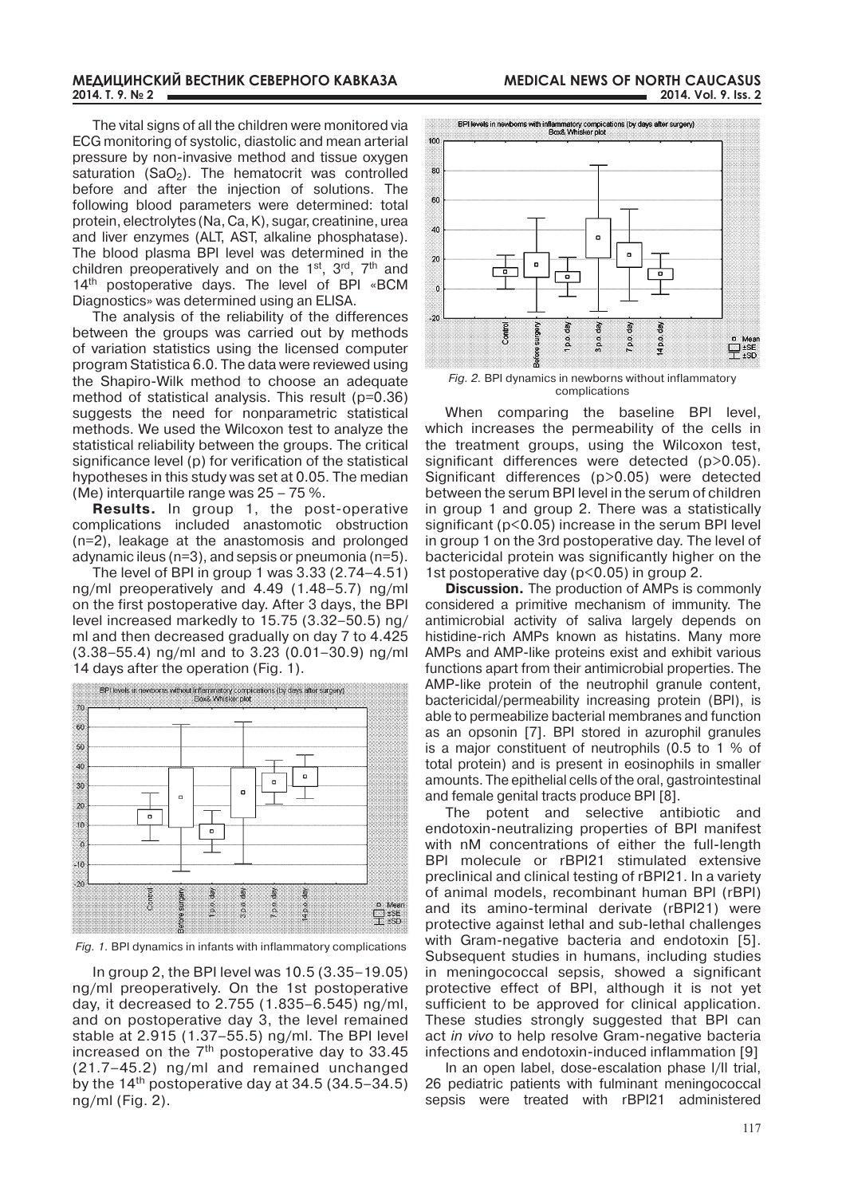### **МЕДИЦИНСКИЙ ВЕСТНИК СЕВЕРНОГО КАВКАЗА 2014. Т. 9. № 2**

following blood parameters were determined: total protein, electrolytes (Na, Ca, K), sugar, creatinine, urea and liver enzymes (ALT, AST, alkaline phosphatase). The blood plasma BPI level was determined in the children preoperatively and on the  $1<sup>st</sup>$ ,  $3<sup>rd</sup>$ ,  $7<sup>th</sup>$  and 14<sup>th</sup> postoperative days. The level of BPI «BCM Diagnostics» was determined using an ELISA.

The analysis of the reliability of the differences between the groups was carried out by methods of variation statistics using the licensed computer program Statistica 6.0. The data were reviewed using the Shapiro-Wilk method to choose an adequate method of statistical analysis. This result (p=0.36) suggests the need for nonparametric statistical methods. We used the Wilcoxon test to analyze the statistical reliability between the groups. The critical significance level (p) for verification of the statistical hypotheses in this study was set at 0.05. The median (Me) interquartile range was 25 – 75 %.

**Results.** In group 1, the post-operative complications included anastomotic obstruction (n=2), leakage at the anastomosis and prolonged adynamic ileus (n=3), and sepsis or pneumonia (n=5).

The level of BPI in group 1 was 3.33 (2.74–4.51) ng/ml preoperatively and 4.49 (1.48–5.7) ng/ml on the first postoperative day. After 3 days, the BPI level increased markedly to 15.75 (3.32–50.5) ng/ ml and then decreased gradually on day 7 to 4.425 (3.38–55.4) ng/ml and to 3.23 (0.01–30.9) ng/ml 14 days after the operation (Fig. 1).



*Fig. 1.* BPI dynamics in infants with inflammatory complications

In group 2, the BPI level was 10.5 (3.35–19.05) ng/ml preoperatively. On the 1st postoperative day, it decreased to 2.755 (1.835–6.545) ng/ml, and on postoperative day 3, the level remained stable at 2.915 (1.37–55.5) ng/ml. The BPI level increased on the 7<sup>th</sup> postoperative day to 33.45 (21.7–45.2) ng/ml and remained unchanged by the  $14<sup>th</sup>$  postoperative day at 34.5 (34.5–34.5) ng/ml (Fig. 2).



*Fig. 2.* BPI dynamics in newborns without inflammatory complications

When comparing the baseline BPI level, which increases the permeability of the cells in the treatment groups, using the Wilcoxon test, significant differences were detected (p>0.05). Significant differences (p>0.05) were detected between the serum BPI level in the serum of children in group 1 and group 2. There was a statistically significant (p<0.05) increase in the serum BPI level in group 1 on the 3rd postoperative day. The level of bactericidal protein was significantly higher on the 1st postoperative day (p<0.05) in group 2.

**Discussion.** The production of AMPs is commonly considered a primitive mechanism of immunity. The antimicrobial activity of saliva largely depends on histidine-rich AMPs known as histatins. Many more AMPs and AMP-like proteins exist and exhibit various functions apart from their antimicrobial properties. The AMP-like protein of the neutrophil granule content, bactericidal/permeability increasing protein (BPI), is able to permeabilize bacterial membranes and function as an opsonin [7]. BPI stored in azurophil granules is a major constituent of neutrophils (0.5 to 1 % of total protein) and is present in eosinophils in smaller amounts. The epithelial cells of the oral, gastrointestinal and female genital tracts produce BPI [8].

The potent and selective antibiotic and endotoxin-neutralizing properties of BPI manifest with nM concentrations of either the full-length BPI molecule or rBPI21 stimulated extensive preclinical and clinical testing of rBPI21. In a variety of animal models, recombinant human BPI (rBPI) and its amino-terminal derivate (rBPI21) were protective against lethal and sub-lethal challenges with Gram-negative bacteria and endotoxin [5]. Subsequent studies in humans, including studies in meningococcal sepsis, showed a significant protective effect of BPI, although it is not yet sufficient to be approved for clinical application. These studies strongly suggested that BPI can act *in vivo* to help resolve Gram-negative bacteria infections and endotoxin-induced inflammation [9]

In an open label, dose-escalation phase I/II trial, 26 pediatric patients with fulminant meningococcal sepsis were treated with rBPI21 administered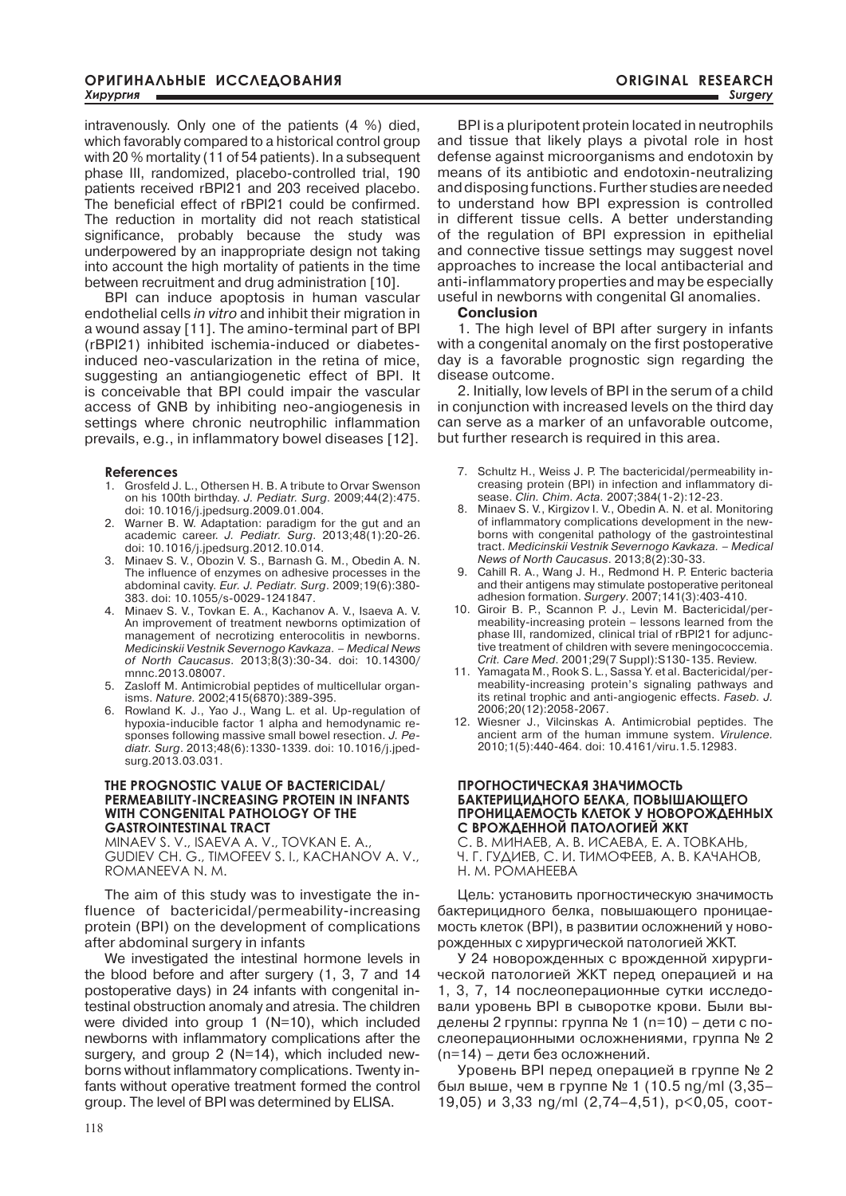intravenously. Only one of the patients (4 %) died, which favorably compared to a historical control group with 20 % mortality (11 of 54 patients). In a subsequent phase III, randomized, placebo-controlled trial, 190 patients received rBPI21 and 203 received placebo. The beneficial effect of rBPI21 could be confirmed. The reduction in mortality did not reach statistical significance, probably because the study was underpowered by an inappropriate design not taking into account the high mortality of patients in the time between recruitment and drug administration [10].

BPI can induce apoptosis in human vascular endothelial cells *in vitro* and inhibit their migration in a wound assay [11]. The amino-terminal part of BPI (rBPI21) inhibited ischemia-induced or diabetesinduced neo-vascularization in the retina of mice, suggesting an antiangiogenetic effect of BPI. It is conceivable that BPI could impair the vascular access of GNB by inhibiting neo-angiogenesis in settings where chronic neutrophilic inflammation prevails, e.g., in inflammatory bowel diseases [12].

# **References**

- 1. Grosfeld J. L., Othersen H. B. A tribute to Orvar Swenson on his 100th birthday. *J. Pediatr. Surg*. 2009;44(2):475. doi: 10.1016/j.jpedsurg.2009.01.004.
- 2. Warner B. W. Adaptation: paradigm for the gut and an academic career. *J. Pediatr. Surg*. 2013;48(1):20-26. doi: 10.1016/j.jpedsurg.2012.10.014.
- 3. Minaev S. V., Obozin V. S., Barnash G. M., Obedin A. N. The influence of enzymes on adhesive processes in the abdominal cavity. *Eur. J. Pediatr. Surg*. 2009;19(6):380- 383. doi: 10.1055/s-0029-1241847.
- 4. Minaev S. V., Tovkan E. A., Kachanov A. V., Isaeva A. V. An improvement of treatment newborns optimization of management of necrotizing enterocolitis in newborns. *Medicinskii Vestnik Severnogo Kavkaza. – Medical News of North Caucasus*. 2013;8(3):30-34. doi: 10.14300/ mnnc.2013.08007.
- 5. Zasloff M. Antimicrobial peptides of multicellular organisms. *Nature.* 2002;415(6870):389-395.
- 6. Rowland K. J., Yao J., Wang L. et al. Up-regulation of hypoxia-inducible factor 1 alpha and hemodynamic responses following massive small bowel resection. *J. Pediatr. Surg*. 2013;48(6):1330-1339. doi: 10.1016/j.jpedsurg.2013.03.031.

# **THE PROGNOSTIC VALUE OF BACTERICIDAL/ PERMEABILITY-INCREASING PROTEIN IN INFANTS WITH CONGENITAL PATHOLOGY OF THE GASTROINTESTINAL TRACT**

MINAEV S. V., ISAEVA A. V., TOVKAN E. A., GUDIEV CH. G., TIMOFEEV S. I., KACHANOV A. V., ROMANEEVA N. M.

The aim of this study was to investigate the influence of bactericidal/permeability-increasing protein (BPI) on the development of complications after abdominal surgery in infants

We investigated the intestinal hormone levels in the blood before and after surgery (1, 3, 7 and 14 postoperative days) in 24 infants with congenital intestinal obstruction anomaly and atresia. The children were divided into group 1 (N=10), which included newborns with inflammatory complications after the surgery, and group 2 (N=14), which included newborns without inflammatory complications. Twenty infants without operative treatment formed the control group. The level of BPI was determined by ELISA.

BPI is a pluripotent protein located in neutrophils and tissue that likely plays a pivotal role in host defense against microorganisms and endotoxin by means of its antibiotic and endotoxin-neutralizing and disposing functions. Further studies are needed to understand how BPI expression is controlled in different tissue cells. A better understanding of the regulation of BPI expression in epithelial and connective tissue settings may suggest novel approaches to increase the local antibacterial and anti-inflammatory properties and may be especially useful in newborns with congenital GI anomalies.

# **Conclusion**

1. The high level of BPI after surgery in infants with a congenital anomaly on the first postoperative day is a favorable prognostic sign regarding the disease outcome.

2. Initially, low levels of BPI in the serum of a child in conjunction with increased levels on the third day can serve as a marker of an unfavorable outcome, but further research is required in this area.

- 7. Schultz H., Weiss J. P. The bactericidal/permeability increasing protein (BPI) in infection and inflammatory disease. *Clin. Chim. Acta.* 2007;384(1-2):12-23.
- 8. Minaev S. V., Kirgizov I. V., Obedin A. N. et al. Monitoring of inflammatory complications development in the newborns with congenital pathology of the gastrointestinal tract. *Medicinskii Vestnik Severnogo Kavkaza. – Medical News of North Caucasus*. 2013;8(2):30-33.
- 9. Cahill R. A., Wang J. H., Redmond H. P. Enteric bacteria and their antigens may stimulate postoperative peritoneal adhesion formation. *Surgery*. 2007;141(3):403-410.
- 10. Giroir B. P., Scannon P. J., Levin M. Bactericidal/permeability-increasing protein – lessons learned from the phase III, randomized, clinical trial of rBPI21 for adjunctive treatment of children with severe meningococcemia. *Crit. Care Med*. 2001;29(7 Suppl):S130-135. Review.
- 11. Yamagata M., Rook S. L., Sassa Y. et al. Bactericidal/permeability-increasing protein's signaling pathways and its retinal trophic and anti-angiogenic effects. *Faseb. J.* 2006;20(12):2058-2067.
- 12. Wiesner J., Vilcinskas A. Antimicrobial peptides. The ancient arm of the human immune system. *Virulence.* 2010;1(5):440-464. doi: 10.4161/viru.1.5.12983.

# **ПРОГНОСТИЧЕСКАЯ ЗНАЧИМОСТЬ БАКТЕРИЦИДНОГО БЕЛКА, ПОВЫШАЮЩЕГО ПРОНИЦАЕМОСТЬ КЛЕТОК У НОВОРОЖДЕННЫХ С ВРОЖДЕННОЙ ПАТОЛОГИЕЙ ЖКТ**

С. В. МИНАЕВ, А. В. ИСАЕВА, Е. А. ТОВКАНЬ, Ч. Г. ГУДИЕВ, С. И. ТИМОФЕЕВ, А. В. КАЧАНОВ, Н. М. РОМАНЕЕВА

Цель: установить прогностическую значимость бактерицидного белка, повышающего проницаемость клеток (BPI), в развитии осложнений у новорожденных с хирургической патологией ЖКТ.

У 24 новорожденных с врожденной хирургической патологией ЖКТ перед операцией и на 1, 3, 7, 14 послеоперационные сутки исследовали уровень BPI в сыворотке крови. Были выделены 2 группы: группа № 1 (n=10) – дети с послеоперационными осложнениями, группа № 2 (n=14) – дети без осложнений.

Уровень BPI перед операцией в группе № 2 был выше, чем в группе № 1 (10.5 ng/ml (3,35– 19,05) и 3,33 ng/ml (2,74–4,51), p<0,05, соот-